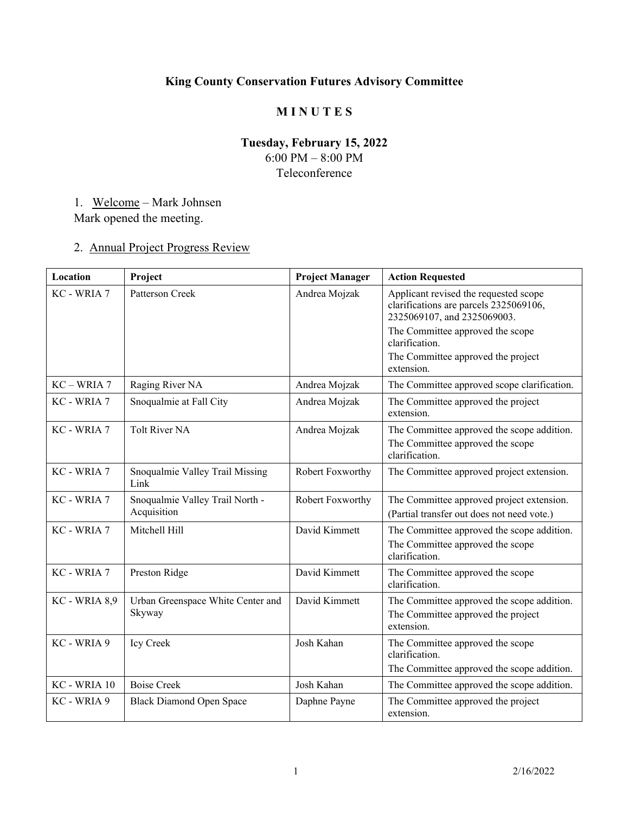# **King County Conservation Futures Advisory Committee**

### **M I N U T E S**

### **Tuesday, February 15, 2022**  6:00 PM – 8:00 PM Teleconference

# 1. Welcome – Mark Johnsen Mark opened the meeting.

# 2. Annual Project Progress Review

| Location      | Project                                        | <b>Project Manager</b> | <b>Action Requested</b>                                                                                        |
|---------------|------------------------------------------------|------------------------|----------------------------------------------------------------------------------------------------------------|
| KC - WRIA 7   | Patterson Creek                                | Andrea Mojzak          | Applicant revised the requested scope<br>clarifications are parcels 2325069106,<br>2325069107, and 2325069003. |
|               |                                                |                        | The Committee approved the scope<br>clarification.                                                             |
|               |                                                |                        | The Committee approved the project<br>extension.                                                               |
| $KC - WRIA$ 7 | Raging River NA                                | Andrea Mojzak          | The Committee approved scope clarification.                                                                    |
| KC - WRIA 7   | Snoqualmie at Fall City                        | Andrea Mojzak          | The Committee approved the project<br>extension.                                                               |
| KC - WRIA 7   | <b>Tolt River NA</b>                           | Andrea Mojzak          | The Committee approved the scope addition.                                                                     |
|               |                                                |                        | The Committee approved the scope<br>clarification.                                                             |
| KC - WRIA 7   | Snoqualmie Valley Trail Missing<br>Link        | Robert Foxworthy       | The Committee approved project extension.                                                                      |
| KC - WRIA 7   | Snoqualmie Valley Trail North -<br>Acquisition | Robert Foxworthy       | The Committee approved project extension.<br>(Partial transfer out does not need vote.)                        |
| KC - WRIA 7   | Mitchell Hill                                  | David Kimmett          | The Committee approved the scope addition.<br>The Committee approved the scope<br>clarification.               |
| KC - WRIA 7   | Preston Ridge                                  | David Kimmett          | The Committee approved the scope<br>clarification.                                                             |
| KC - WRIA 8,9 | Urban Greenspace White Center and<br>Skyway    | David Kimmett          | The Committee approved the scope addition.<br>The Committee approved the project<br>extension.                 |
| KC - WRIA 9   | Icy Creek                                      | Josh Kahan             | The Committee approved the scope<br>clarification.<br>The Committee approved the scope addition.               |
| KC - WRIA 10  | <b>Boise Creek</b>                             | Josh Kahan             | The Committee approved the scope addition.                                                                     |
| KC - WRIA 9   | <b>Black Diamond Open Space</b>                | Daphne Payne           | The Committee approved the project<br>extension.                                                               |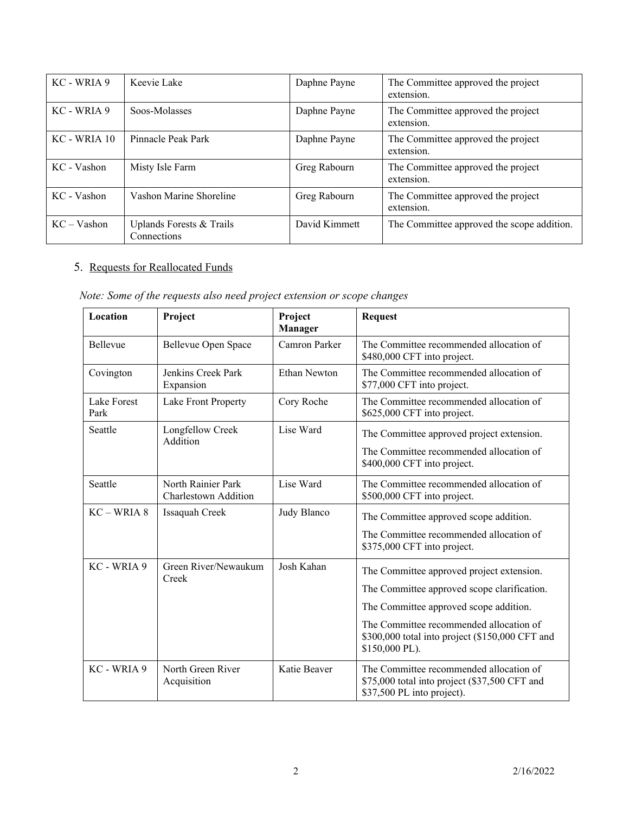| KC - WRIA 9   | Keevie Lake                             | Daphne Payne  | The Committee approved the project<br>extension. |
|---------------|-----------------------------------------|---------------|--------------------------------------------------|
| KC - WRIA 9   | Soos-Molasses                           | Daphne Payne  | The Committee approved the project<br>extension. |
| KC - WRIA 10  | Pinnacle Peak Park                      | Daphne Payne  | The Committee approved the project<br>extension. |
| KC - Vashon   | Misty Isle Farm                         | Greg Rabourn  | The Committee approved the project<br>extension. |
| KC - Vashon   | Vashon Marine Shoreline                 | Greg Rabourn  | The Committee approved the project<br>extension. |
| $KC - Vashon$ | Uplands Forests & Trails<br>Connections | David Kimmett | The Committee approved the scope addition.       |

### 5. Requests for Reallocated Funds

| Note: Some of the requests also need project extension or scope changes |  |  |  |  |  |  |  |  |  |  |  |
|-------------------------------------------------------------------------|--|--|--|--|--|--|--|--|--|--|--|
|-------------------------------------------------------------------------|--|--|--|--|--|--|--|--|--|--|--|

| Location            | Project                                    | Project<br><b>Manager</b> | <b>Request</b>                                                                                                                                                                                                                                     |
|---------------------|--------------------------------------------|---------------------------|----------------------------------------------------------------------------------------------------------------------------------------------------------------------------------------------------------------------------------------------------|
| <b>Bellevue</b>     | Bellevue Open Space                        | Camron Parker             | The Committee recommended allocation of<br>\$480,000 CFT into project.                                                                                                                                                                             |
| Covington           | Jenkins Creek Park<br>Expansion            | Ethan Newton              | The Committee recommended allocation of<br>\$77,000 CFT into project.                                                                                                                                                                              |
| Lake Forest<br>Park | Lake Front Property                        | Cory Roche                | The Committee recommended allocation of<br>\$625,000 CFT into project.                                                                                                                                                                             |
| Seattle             | Longfellow Creek<br>Addition               | Lise Ward                 | The Committee approved project extension.<br>The Committee recommended allocation of<br>\$400,000 CFT into project.                                                                                                                                |
| Seattle             | North Rainier Park<br>Charlestown Addition | Lise Ward                 | The Committee recommended allocation of<br>\$500,000 CFT into project.                                                                                                                                                                             |
| $KC-WRIA 8$         | Issaquah Creek                             | Judy Blanco               | The Committee approved scope addition.<br>The Committee recommended allocation of<br>\$375,000 CFT into project.                                                                                                                                   |
| KC - WRIA 9         | Green River/Newaukum<br>Creek              | Josh Kahan                | The Committee approved project extension.<br>The Committee approved scope clarification.<br>The Committee approved scope addition.<br>The Committee recommended allocation of<br>\$300,000 total into project (\$150,000 CFT and<br>\$150,000 PL). |
| KC - WRIA 9         | North Green River<br>Acquisition           | Katie Beaver              | The Committee recommended allocation of<br>\$75,000 total into project (\$37,500 CFT and<br>\$37,500 PL into project).                                                                                                                             |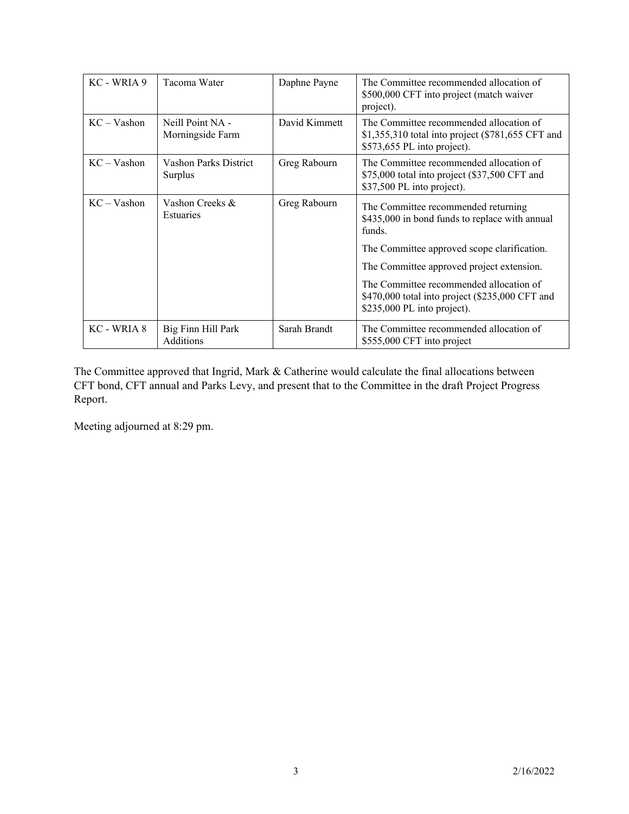| KC - WRIA 9   | Tacoma Water                         | Daphne Payne  | The Committee recommended allocation of<br>\$500,000 CFT into project (match waiver<br>project).                            |
|---------------|--------------------------------------|---------------|-----------------------------------------------------------------------------------------------------------------------------|
| $KC - Vashon$ | Neill Point NA -<br>Morningside Farm | David Kimmett | The Committee recommended allocation of<br>\$1,355,310 total into project (\$781,655 CFT and<br>\$573,655 PL into project). |
| $KC - Vashon$ | Vashon Parks District<br>Surplus     | Greg Rabourn  | The Committee recommended allocation of<br>\$75,000 total into project (\$37,500 CFT and<br>\$37,500 PL into project).      |
| $KC - Vashon$ | Vashon Creeks &<br>Estuaries         | Greg Rabourn  | The Committee recommended returning<br>\$435,000 in bond funds to replace with annual<br>funds.                             |
|               |                                      |               | The Committee approved scope clarification.                                                                                 |
|               |                                      |               | The Committee approved project extension.                                                                                   |
|               |                                      |               | The Committee recommended allocation of<br>$$470,000$ total into project (\$235,000 CFT and<br>\$235,000 PL into project).  |
| KC - WRIA 8   | Big Finn Hill Park<br>Additions      | Sarah Brandt  | The Committee recommended allocation of<br>\$555,000 CFT into project                                                       |

The Committee approved that Ingrid, Mark & Catherine would calculate the final allocations between CFT bond, CFT annual and Parks Levy, and present that to the Committee in the draft Project Progress Report.

Meeting adjourned at 8:29 pm.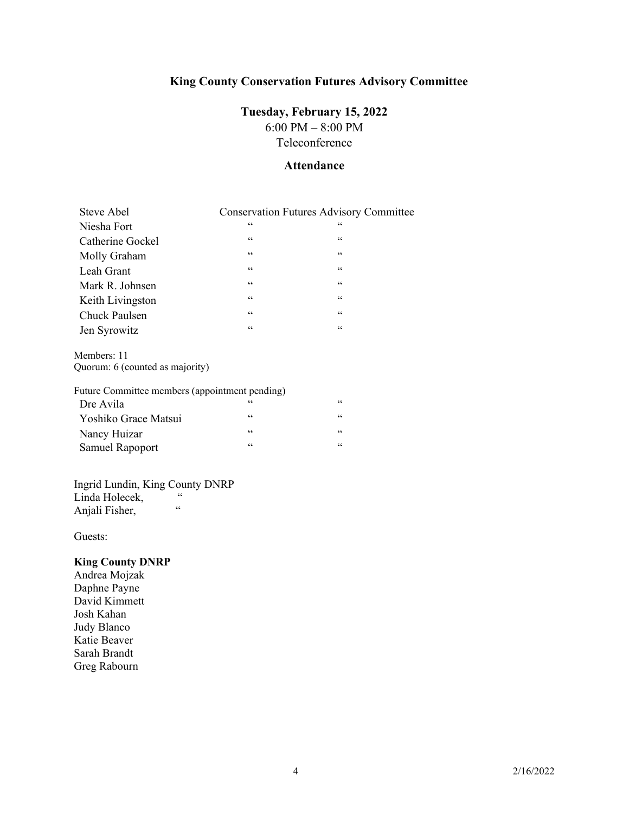## **King County Conservation Futures Advisory Committee**

### **Tuesday, February 15, 2022**

6:00 PM – 8:00 PM Teleconference

### **Attendance**

| Steve Abel       |                  | <b>Conservation Futures Advisory Committee</b> |
|------------------|------------------|------------------------------------------------|
| Niesha Fort      | 66               | 66                                             |
| Catherine Gockel | $\mbox{\bf 6}$   | 66                                             |
| Molly Graham     | $\zeta \, \zeta$ | $\zeta \, \zeta$                               |
| Leah Grant       | $\zeta \zeta$    | $\zeta \, \zeta$                               |
| Mark R. Johnsen  | $\zeta \zeta$    | $\zeta \, \zeta$                               |
| Keith Livingston | $\zeta \zeta$    | $\zeta \, \zeta$                               |
| Chuck Paulsen    | $\zeta \, \zeta$ | $\zeta \, \zeta$                               |
| Jen Syrowitz     | $\mbox{\bf 6}$   | 66                                             |

Members: 11 Quorum: 6 (counted as majority)

### Future Committee members (appointment pending)

| Dre Avila              | 66 | $\epsilon$ |
|------------------------|----|------------|
| Yoshiko Grace Matsui   | "  | $\leq$     |
| Nancy Huizar           | 66 | $\leq$     |
| <b>Samuel Rapoport</b> | 66 | $\epsilon$ |

# Ingrid Lundin, King County DNRP

Linda Holecek, Anjali Fisher, "

Guests:

### **King County DNRP**

Andrea Mojzak Daphne Payne David Kimmett Josh Kahan Judy Blanco Katie Beaver Sarah Brandt Greg Rabourn